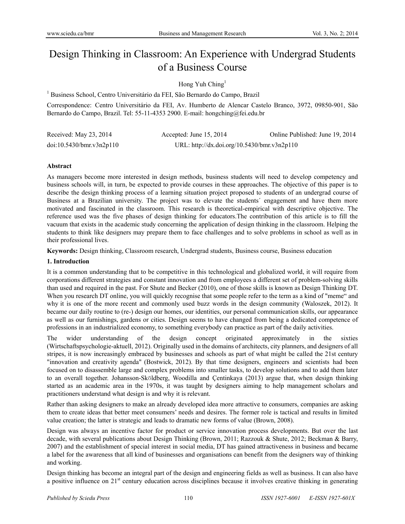## Design Thinking in Classroom: An Experience with Undergrad Students of a Business Course

Hong Yuh Ching<sup>1</sup>

<sup>1</sup> Business School, Centro Universitário da FEI, São Bernardo do Campo, Brazil

Correspondence: Centro Universitário da FEI, Av. Humberto de Alencar Castelo Branco, 3972, 09850-901, São Bernardo do Campo, Brazil. Tel: 55-11-4353 2900. E-mail: hongching@fei.edu.br

| Received: May 23, 2014   | Accepted: June $15, 2014$                   | Online Published: June 19, 2014 |
|--------------------------|---------------------------------------------|---------------------------------|
| doi:10.5430/bmr.v3n2p110 | URL: http://dx.doi.org/10.5430/bmr.v3n2p110 |                                 |

#### **Abstract**

As managers become more interested in design methods, business students will need to develop competency and business schools will, in turn, be expected to provide courses in these approaches. The objective of this paper is to describe the design thinking process of a learning situation project proposed to students of an undergrad course of Business at a Brazilian university. The project was to elevate the students´ engagement and have them more motivated and fascinated in the classroom. This research is theoretical-empirical with descriptive objective. The reference used was the five phases of design thinking for educators.The contribution of this article is to fill the vacuum that exists in the academic study concerning the application of design thinking in the classroom. Helping the students to think like designers may prepare them to face challenges and to solve problems in school as well as in their professional lives.

**Keywords:** Design thinking, Classroom research, Undergrad students, Business course, Business education

#### **1. Introduction**

It is a common understanding that to be competitive in this technological and globalized world, it will require from corporations different strategies and constant innovation and from employees a different set of problem-solving skills than used and required in the past. For Shute and Becker (2010), one of those skills is known as Design Thinking DT. When you research DT online, you will quickly recognise that some people refer to the term as a kind of "meme" and why it is one of the more recent and commonly used buzz words in the design community (Waloszek, 2012). It became our daily routine to (re-) design our homes, our identities, our personal communication skills, our appearance as well as our furnishings, gardens or cities. Design seems to have changed from being a dedicated competence of professions in an industrialized economy, to something everybody can practice as part of the daily activities.

The wider understanding of the design concept originated approximately in the sixties (Wirtschaftspsychologie-aktuell, 2012). Originally used in the domains of architects, city planners, and designers of all stripes, it is now increasingly embraced by businesses and schools as part of what might be called the 21st century "innovation and creativity agenda" (Bostwick, 2012). By that time designers, engineers and scientists had been focused on to disassemble large and complex problems into smaller tasks, to develop solutions and to add them later to an overall together. Johansson-Sköldberg, Woodilla and Çentinkaya (2013) argue that, when design thinking started as an academic area in the 1970s, it was taught by designers aiming to help management scholars and practitioners understand what design is and why it is relevant.

Rather than asking designers to make an already developed idea more attractive to consumers, companies are asking them to create ideas that better meet consumers' needs and desires. The former role is tactical and results in limited value creation; the latter is strategic and leads to dramatic new forms of value (Brown, 2008).

Design was always an incentive factor for product or service innovation process developments. But over the last decade, with several publications about Design Thinking (Brown, 2011; Razzouk & Shute, 2012; Beckman & Barry, 2007) and the establishment of special interest in social media, DT has gained attractiveness in business and became a label for the awareness that all kind of businesses and organisations can benefit from the designers way of thinking and working.

Design thinking has become an integral part of the design and engineering fields as well as business. It can also have a positive influence on  $21<sup>st</sup>$  century education across disciplines because it involves creative thinking in generating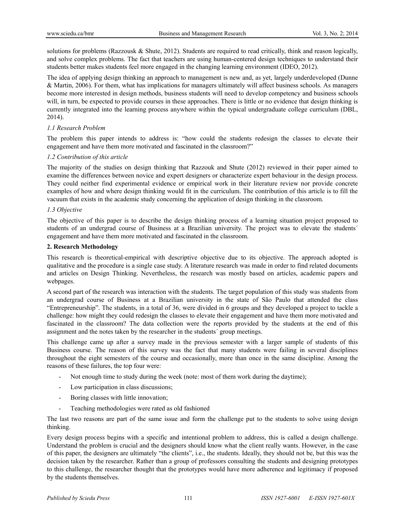solutions for problems (Razzousk  $&$  Shute, 2012). Students are required to read critically, think and reason logically, and solve complex problems. The fact that teachers are using human-centered design techniques to understand their students better makes students feel more engaged in the changing learning environment (IDEO, 2012).

The idea of applying design thinking an approach to management is new and, as yet, largely underdeveloped (Dunne & Martin, 2006). For them, what has implications for managers ultimately will affect business schools. As managers become more interested in design methods, business students will need to develop competency and business schools will, in turn, be expected to provide courses in these approaches. There is little or no evidence that design thinking is currently integrated into the learning process anywhere within the typical undergraduate college curriculum (DBL, 2014).

#### *1.1 Research Problem*

The problem this paper intends to address is: "how could the students redesign the classes to elevate their engagement and have them more motivated and fascinated in the classroom?"

#### *1.2 Contribution of this article*

The majority of the studies on design thinking that Razzouk and Shute (2012) reviewed in their paper aimed to examine the differences between novice and expert designers or characterize expert behaviour in the design process. They could neither find experimental evidence or empirical work in their literature review nor provide concrete examples of how and where design thinking would fit in the curriculum. The contribution of this article is to fill the vacuum that exists in the academic study concerning the application of design thinking in the classroom.

#### *1.3 Objective*

The objective of this paper is to describe the design thinking process of a learning situation project proposed to students of an undergrad course of Business at a Brazilian university. The project was to elevate the students´ engagement and have them more motivated and fascinated in the classroom.

#### **2. Research Methodology**

This research is theoretical-empirical with descriptive objective due to its objective. The approach adopted is qualitative and the procedure is a single case study. A literature research was made in order to find related documents and articles on Design Thinking. Nevertheless, the research was mostly based on articles, academic papers and webpages.

A second part of the research was interaction with the students. The target population of this study was students from an undergrad course of Business at a Brazilian university in the state of São Paulo that attended the class "Entrepreneurship". The students, in a total of 36, were divided in 6 groups and they developed a project to tackle a challenge: how might they could redesign the classes to elevate their engagement and have them more motivated and fascinated in the classroom? The data collection were the reports provided by the students at the end of this assignment and the notes taken by the researcher in the students´ group meetings.

This challenge came up after a survey made in the previous semester with a larger sample of students of this Business course. The reason of this survey was the fact that many students were failing in several disciplines throughout the eight semesters of the course and occasionally, more than once in the same discipline. Among the reasons of these failures, the top four were:

- Not enough time to study during the week (note: most of them work during the daytime);
- Low participation in class discussions;
- Boring classes with little innovation;
- Teaching methodologies were rated as old fashioned

The last two reasons are part of the same issue and form the challenge put to the students to solve using design thinking.

Every design process begins with a specific and intentional problem to address, this is called a design challenge. Understand the problem is crucial and the designers should know what the client really wants. However, in the case of this paper, the designers are ultimately "the clients", i.e., the students. Ideally, they should not be, but this was the decision taken by the researcher. Rather than a group of professors consulting the students and designing prototypes to this challenge, the researcher thought that the prototypes would have more adherence and legitimacy if proposed by the students themselves.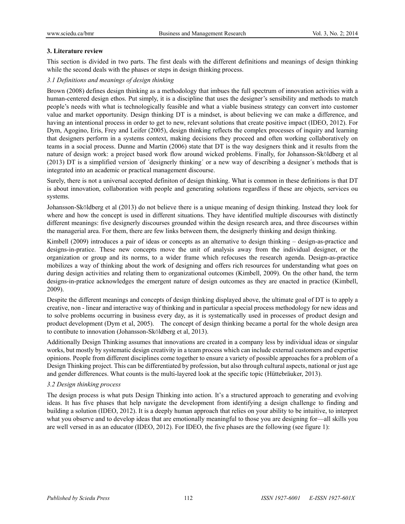#### **3. Literature review**

This section is divided in two parts. The first deals with the different definitions and meanings of design thinking while the second deals with the phases or steps in design thinking process.

#### *3.1 Definitions and meanings of design thinking*

Brown (2008) defines design thinking as a methodology that imbues the full spectrum of innovation activities with a human-centered design ethos. Put simply, it is a discipline that uses the designer's sensibility and methods to match people's needs with what is technologically feasible and what a viable business strategy can convert into customer value and market opportunity. Design thinking DT is a mindset, is about believing we can make a difference, and having an intentional process in order to get to new, relevant solutions that create positive impact (IDEO, 2012). For Dym, Agogino, Eris, Frey and Leifer (2005), design thinking reflects the complex processes of inquiry and learning that designers perform in a systems context, making decisions they proceed and often working collaboratively on teams in a social process. Dunne and Martin (2006) state that DT is the way designers think and it results from the nature of design work: a project based work flow around wicked problems. Finally, for Johansson-Skӧldberg et al (2013) DT is a simplified version of ´designerly thinking´ or a new way of describing a designer´s methods that is integrated into an academic or practical management discourse.

Surely, there is not a universal accepted definiton of design thinking. What is common in these definitions is that DT is about innovation, collaboration with people and generating solutions regardless if these are objects, services ou systems.

Johansson-Skӧldberg et al (2013) do not believe there is a unique meaning of design thinking. Instead they look for where and how the concept is used in different situations. They have identified multiple discourses with distinctly different meanings: five designerly discourses grounded within the design research area, and three discourses within the managerial area. For them, there are few links between them, the designerly thinking and design thinking.

Kimbell (2009) introduces a pair of ideas or concepts as an alternative to design thinking – design-as-practice and designs-in-pratice. These new concepts move the unit of analysis away from the individual designer, or the organization or group and its norms, to a wider frame which refocuses the research agenda. Design-as-practice mobilizes a way of thinking about the work of designing and offers rich resources for understanding what goes on during design activities and relating them to organizational outcomes (Kimbell, 2009). On the other hand, the term designs-in-pratice acknowledges the emergent nature of design outcomes as they are enacted in practice (Kimbell, 2009).

Despite the different meanings and concepts of design thinking displayed above, the ultimate goal of DT is to apply a creative, non - linear and interactive way of thinking and in particular a special process methodology for new ideas and to solve problems occurring in business every day, as it is systematically used in processes of product design and product development (Dym et al, 2005). The concept of design thinking became a portal for the whole design area to contibute to innovation (Johansson-Skӧldberg et al, 2013).

Additionally Design Thinking assumes that innovations are created in a company less by individual ideas or singular works, but mostly by systematic design creativity in a team process which can include external customers and expertise opinions. People from different disciplines come together to ensure a variety of possible approaches for a problem of a Design Thinking project. This can be differentiated by profession, but also through cultural aspects, national or just age and gender differences. What counts is the multi-layered look at the specific topic (Hüttebräuker, 2013).

#### *3.2 Design thinking process*

The design process is what puts Design Thinking into action. It's a structured approach to generating and evolving ideas. It has five phases that help navigate the development from identifying a design challenge to finding and building a solution (IDEO, 2012). It is a deeply human approach that relies on your ability to be intuitive, to interpret what you observe and to develop ideas that are emotionally meaningful to those you are designing for—all skills you are well versed in as an educator (IDEO, 2012). For IDEO, the five phases are the following (see figure 1):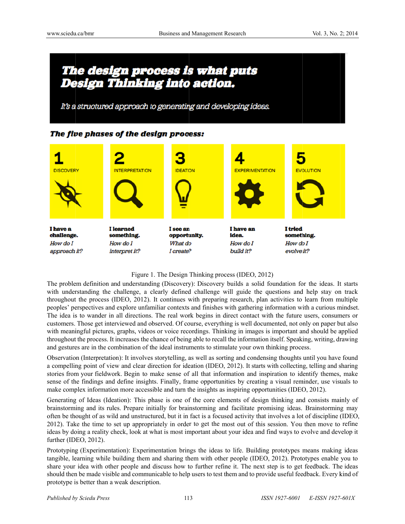# The design process is what puts<br>Design Thinking into action.

It's a structured approach to generating and developing ideas.

### The five phases of the design process:



#### Figure 1. The Design Thinking process (IDEO, 2012)

The problem definition and understanding (Discovery): Discovery builds a solid foundation for the ideas. It starts with understanding the challenge, a clearly defined challenge will guide the questions and help stay on track throughout the process (IDEO, 2012). It continues with preparing research, plan activities to learn from multiple peoples' perspectives and explore unfamiliar contexts and finishes with gathering information with a curious mindset. The idea is to wander in all directions. The real work begins in direct contact with the future users, consumers or customers. Those get interviewed and observed. Of course, everything is well documented, not only on paper but also with meaningful pictures, graphs, videos or voice recordings. Thinking in images is important and should be applied throughout the process. It increases the chance of being able to recall the information itself. Speaking, writing, drawing and gestures are in the combination of the ideal instruments to stimulate your own thinking process.

Observation (Interpretation): It involves storytelling, as well as sorting and condensing thoughts until you have found a compelling point of view and clear direction for ideation (IDEO, 2012). It starts with collecting, telling and sharing stories from your fieldwork. Begin to make sense of all that information and inspiration to identify themes, make sense of the findings and define insights. Finally, frame opportunities by creating a visual reminder, use visuals to make complex information more accessible and turn the insights as inspiring opportunities (IDEO, 2012).

Generating of Ideas (Ideation): This phase is one of the core elements of design thinking and consists mainly of brainstorming and its rules. Prepare initially for brainstorming and facilitate promising ideas. Brainstorming may often be thought of as wild and unstructured, but it in fact is a focused activity that involves a lot of discipline (IDEO, 2012). Take the time to set up appropriately in order to get the most out of this session. You then move to refine ideas by doing a reality check, look at what is most important about your idea and find ways to evolve and develop it further (IDEO, 2012).

Prototyping (Experimentation): Experimentation brings the ideas to life. Building prototypes means making ideas tangible, learning while building them and sharing them with other people (IDEO, 2012). Prototypes enable you to share your idea with other people and discuss how to further refine it. The next step is to get feedback. The ideas should then be made visible and communicable to help users to test them and to provide useful feedback. Every kind of prototype is better than a weak description.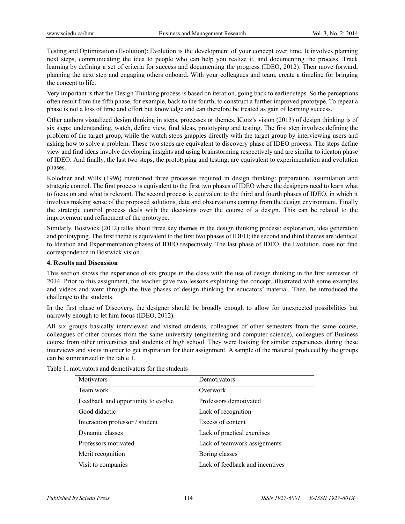Testing and Optimization (Evolution): Evolution is the development of your concept over time. It involves planning next steps, communicating the idea to people who can help you realize it, and documenting the process. Track learning by defining a set of criteria for success and documenting the progress (IDEO, 2012). Then move forward, planning the next step and engaging others onboard. With your colleagues and team, create a timeline for bringing the concept to life.

Very important is that the Design Thinking process is based on iteration, going back to earlier steps. So the perceptions often result from the fifth phase, for example, back to the fourth, to construct a further improved prototype. To repeat a phase is not a loss of time and effort but knowledge and can therefore be treated as gain of learning success.

Other authors visualized design thinking in steps, processes or themes. Klotz's vision (2013) of design thinking is of six steps: understanding, watch, define view, find ideas, prototyping and testing. The first step involves defining the problem of the target group, while the watch steps grapples directly with the target group by interviewing users and asking how to solve a problem. These two steps are equivalent to discovery phase of IDEO process. The steps define view and find ideas involve developing insights and using brainstorming respectively and are similar to ideaton phase of IDEO. And finally, the last two steps, the prototyping and testing, are equivalent to experimentation and evolution phases.

Kolodner and Wills (1996) mentioned three processes required in design thinking: preparation, assimilation and strategic control. The first process is equivalent to the first two phases of IDEO where the designers need to learn what to focus on and what is relevant. The second process is equivalent to the third and fourth phases of IDEO, in which it involves making sense of the proposed solutions, data and observations coming from the design environment. Finally the strategic control process deals with the decisions over the course of a design. This can be related to the improvement and refinement of the prototype.

Similarly, Bostwick (2012) talks about three key themes in the design thinking process: exploration, idea generation and prototyping. The first theme is equivalent to the first two phases of IDEO; the second and third themes are identical to Ideation and Experimentation phases of IDEO respectively. The last phase of IDEO, the Evolution, does not find correspondence in Bostwick vision.

#### **4. Results and Discussion**

This section shows the experience of six groups in the class with the use of design thinking in the first semester of 2014. Prior to this assignment, the teacher gave two lessons explaining the concept, illustrated with some examples and videos and went through the five phases of design thinking for educators' material. Then, he introduced the challenge to the students.

In the first phase of Discovery, the designer should be broadly enough to allow for unexpected possibilities but narrowly enough to let him focus (IDEO, 2012).

All six groups basically interviewed and visited students, colleagues of other semesters from the same course, colleagues of other courses from the same university (engineering and computer science), colleagues of Business course from other universities and students of high school. They were looking for similar experiences during these interviews and visits in order to get inspiration for their assignment. A sample of the material produced by the groups can be summarized in the table 1.

| <b>Motivators</b>                  | Demotivators                    |
|------------------------------------|---------------------------------|
| Team work                          | Overwork                        |
| Feedback and opportunity to evolve | Professors demotivated          |
| Good didactic                      | Lack of recognition             |
| Interaction professor / student    | Excess of content               |
| Dynamic classes                    | Lack of practical exercises     |
| Professors motivated               | Lack of teamwork assignments    |
| Merit recognition                  | Boring classes                  |
| Visit to companies                 | Lack of feedback and incentives |

Table 1. motivators and demotivators for the students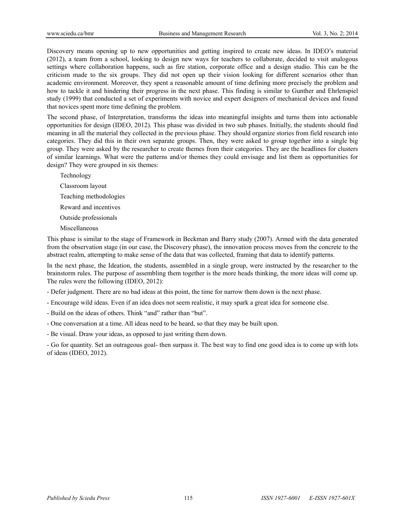Discovery means opening up to new opportunities and getting inspired to create new ideas. In IDEO's material (2012), a team from a school, looking to design new ways for teachers to collaborate, decided to visit analogous settings where collaboration happens, such as fire station, corporate office and a design studio. This can be the criticism made to the six groups. They did not open up their vision looking for different scenarios other than academic environment. Moreover, they spent a reasonable amount of time defining more precisely the problem and how to tackle it and hindering their progress in the next phase. This finding is similar to Gunther and Ehrlenspiel study (1999) that conducted a set of experiments with novice and expert designers of mechanical devices and found that novices spent more time defining the problem.

The second phase, of Interpretation, transforms the ideas into meaningful insights and turns them into actionable opportunities for design (IDEO, 2012). This phase was divided in two sub phases. Initially, the students should find meaning in all the material they collected in the previous phase. They should organize stories from field research into categories. They did this in their own separate groups. Then, they were asked to group together into a single big group. They were asked by the researcher to create themes from their categories. They are the headlines for clusters of similar learnings. What were the patterns and/or themes they could envisage and list them as opportunities for design? They were grouped in six themes:

Technology Classroom layout Teaching methodologies Reward and incentives Outside professionals Miscellaneous

This phase is similar to the stage of Framework in Beckman and Barry study (2007). Armed with the data generated from the observation stage (in our case, the Discovery phase), the innovation process moves from the concrete to the abstract realm, attempting to make sense of the data that was collected, framing that data to identify patterns.

In the next phase, the Ideation, the students, assembled in a single group, were instructed by the researcher to the brainstorm rules. The purpose of assembling them together is the more heads thinking, the more ideas will come up. The rules were the following (IDEO, 2012):

- Defer judgment. There are no bad ideas at this point, the time for narrow them down is the next phase.

- Encourage wild ideas. Even if an idea does not seem realistic, it may spark a great idea for someone else.
- Build on the ideas of others. Think "and" rather than "but".
- One conversation at a time. All ideas need to be heard, so that they may be built upon.
- Be visual. Draw your ideas, as opposed to just writing them down.

- Go for quantity. Set an outrageous goal- then surpass it. The best way to find one good idea is to come up with lots of ideas (IDEO, 2012).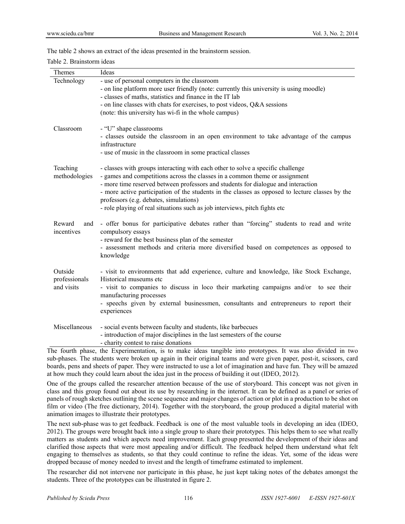|  | The table 2 shows an extract of the ideas presented in the brainstorm session. |  |  |  |
|--|--------------------------------------------------------------------------------|--|--|--|
|--|--------------------------------------------------------------------------------|--|--|--|

Table 2. Brainstorm ideas

| Themes                      | Ideas                                                                                                                                                                                                                                                                                                                                                                                            |
|-----------------------------|--------------------------------------------------------------------------------------------------------------------------------------------------------------------------------------------------------------------------------------------------------------------------------------------------------------------------------------------------------------------------------------------------|
| Technology                  | - use of personal computers in the classroom<br>- on line platform more user friendly (note: currently this university is using moodle)                                                                                                                                                                                                                                                          |
|                             | - classes of maths, statistics and finance in the IT lab                                                                                                                                                                                                                                                                                                                                         |
|                             | - on line classes with chats for exercises, to post videos, Q&A sessions                                                                                                                                                                                                                                                                                                                         |
|                             | (note: this university has wi-fi in the whole campus)                                                                                                                                                                                                                                                                                                                                            |
| Classroom                   | - "U" shape classrooms                                                                                                                                                                                                                                                                                                                                                                           |
|                             | - classes outside the classroom in an open environment to take advantage of the campus<br>infrastructure                                                                                                                                                                                                                                                                                         |
|                             | - use of music in the classroom in some practical classes                                                                                                                                                                                                                                                                                                                                        |
| Teaching<br>methodologies   | - classes with groups interacting with each other to solve a specific challenge<br>- games and competitions across the classes in a common theme or assignment<br>- more time reserved between professors and students for dialogue and interaction<br>- more active participation of the students in the classes as opposed to lecture classes by the<br>professors (e.g. debates, simulations) |
|                             | - role playing of real situations such as job interviews, pitch fights etc                                                                                                                                                                                                                                                                                                                       |
| Reward<br>and<br>incentives | - offer bonus for participative debates rather than "forcing" students to read and write<br>compulsory essays                                                                                                                                                                                                                                                                                    |
|                             | - reward for the best business plan of the semester                                                                                                                                                                                                                                                                                                                                              |
|                             | - assessment methods and criteria more diversified based on competences as opposed to<br>knowledge                                                                                                                                                                                                                                                                                               |
| Outside<br>professionals    | - visit to environments that add experience, culture and knowledge, like Stock Exchange,<br>Historical museums etc                                                                                                                                                                                                                                                                               |
| and visits                  | - visit to companies to discuss in loco their marketing campaigns and/or to see their<br>manufacturing processes                                                                                                                                                                                                                                                                                 |
|                             | - speechs given by external businessmen, consultants and entrepreneurs to report their<br>experiences                                                                                                                                                                                                                                                                                            |
| Miscellaneous               | - social events between faculty and students, like barbecues<br>- introduction of major disciplines in the last semesters of the course<br>- charity contest to raise donations                                                                                                                                                                                                                  |

The fourth phase, the Experimentation, is to make ideas tangible into prototypes. It was also divided in two sub-phases. The students were broken up again in their original teams and were given paper, post-it, scissors, card boards, pens and sheets of paper. They were instructed to use a lot of imagination and have fun. They will be amazed at how much they could learn about the idea just in the process of building it out (IDEO, 2012).

One of the groups called the researcher attention because of the use of storyboard. This concept was not given in class and this group found out about its use by researching in the internet. It can be defined as a panel or series of panels of rough sketches outlining the scene sequence and major changes of action or plot in a production to be shot on film or video (The free dictionary, 2014). Together with the storyboard, the group produced a digital material with animation images to illustrate their prototypes.

The next sub-phase was to get feedback. Feedback is one of the most valuable tools in developing an idea (IDEO, 2012). The groups were brought back into a single group to share their prototypes. This helps them to see what really matters as students and which aspects need improvement. Each group presented the development of their ideas and clarified those aspects that were most appealing and/or difficult. The feedback helped them understand what felt engaging to themselves as students, so that they could continue to refine the ideas. Yet, some of the ideas were dropped because of money needed to invest and the length of timeframe estimated to implement.

The researcher did not intervene nor participate in this phase, he just kept taking notes of the debates amongst the students. Three of the prototypes can be illustrated in figure 2.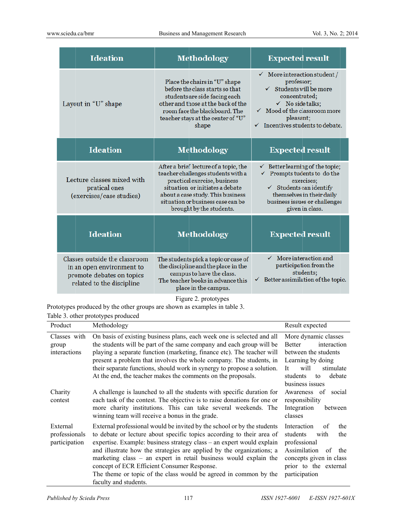| <b>Ideation</b>                                                                                                      | <b>Methodology</b>                                                                                                                                                                                                                                   | <b>Expected result</b>                                                                                                                                                                                                                             |
|----------------------------------------------------------------------------------------------------------------------|------------------------------------------------------------------------------------------------------------------------------------------------------------------------------------------------------------------------------------------------------|----------------------------------------------------------------------------------------------------------------------------------------------------------------------------------------------------------------------------------------------------|
| Layout in "U" shape                                                                                                  | Place the chairs in "U" shape<br>before the class starts so that<br>students are side facing each<br>other and those at the back of the<br>room face the blackboard. The<br>teacher stays at the center of "U"<br>shape                              | $\checkmark$ More interaction student /<br>professor;<br>$\checkmark$ Students will be more<br>concentrated;<br>$\checkmark$ No side talks;<br>$\checkmark$ Mood of the classroom more<br>pleasant;<br>$\checkmark$ Incentives students to debate. |
| <b>Ideation</b>                                                                                                      | <b>Methodology</b>                                                                                                                                                                                                                                   | <b>Expected result</b>                                                                                                                                                                                                                             |
| Lecture classes mixed with<br>pratical ones<br>(exercises/case studies)                                              | After a brief lecture of a topic, the<br>teacher challenges students with a<br>practical exercise, business<br>situation or initiates a debate<br>about a case study. This business<br>situation or business case can be<br>brought by the students. | Better learning of the topic;<br>✓<br>Prompts tudents to do the<br>✓<br>exercises:<br>$\checkmark$ Students can identify<br>themselves in their daily<br>business issues or challenges<br>given in class.                                          |
| <b>Ideation</b>                                                                                                      | <b>Methodology</b>                                                                                                                                                                                                                                   | <b>Expected result</b>                                                                                                                                                                                                                             |
| Classes outside the classroom<br>in an open environment to<br>promote debates on topics<br>related to the discipline | The students pick a topic or case of<br>the discipline and the place in the<br>campus to have the class.<br>The teacher books in advance this<br>place in the campus.                                                                                | $\checkmark$ More interaction and<br>participation from the<br>students;<br>Better assimilation of the topic.<br>✓                                                                                                                                 |

Figure 2. prototypes

Prototypes produced by the other groups are shown as examples in table 3.

Table 3. other prototypes produced

| Product                                    | Methodology                                                                                                                                                                                                                                                                                                                                                                                                                                                                                                        | Result expected                                                                                                                                                              |
|--------------------------------------------|--------------------------------------------------------------------------------------------------------------------------------------------------------------------------------------------------------------------------------------------------------------------------------------------------------------------------------------------------------------------------------------------------------------------------------------------------------------------------------------------------------------------|------------------------------------------------------------------------------------------------------------------------------------------------------------------------------|
| Classes with<br>group<br>interactions      | On basis of existing business plans, each week one is selected and all<br>the students will be part of the same company and each group will be<br>playing a separate function (marketing, finance etc). The teacher will<br>present a problem that involves the whole company. The students, in<br>their separate functions, should work in synergy to propose a solution.<br>At the end, the teacher makes the comments on the proposals.                                                                         | More dynamic classes<br>interaction<br><b>Better</b><br>between the students<br>Learning by doing<br>will<br>stimulate<br>Tt.<br>students<br>debate<br>to<br>business issues |
| Charity<br>contest                         | A challenge is launched to all the students with specific duration for<br>each task of the contest. The objective is to raise donations for one or<br>more charity institutions. This can take several weekends. The<br>winning team will receive a bonus in the grade.                                                                                                                                                                                                                                            | social<br>Awareness of<br>responsibility<br>Integration<br>between<br>classes                                                                                                |
| External<br>professionals<br>participation | External professional would be invited by the school or by the students<br>to debate or lecture about specific topics according to their area of<br>expertise. Example: business strategy class - an expert would explain<br>and illustrate how the strategies are applied by the organizations; a<br>marketing class – an expert in retail business would explain the<br>concept of ECR Efficient Consumer Response.<br>The theme or topic of the class would be agreed in common by the<br>faculty and students. | Interaction<br>the<br>of<br>students<br>the<br>with<br>professional<br>Assimilation<br>of<br>the<br>concepts given in class<br>prior to the external<br>participation        |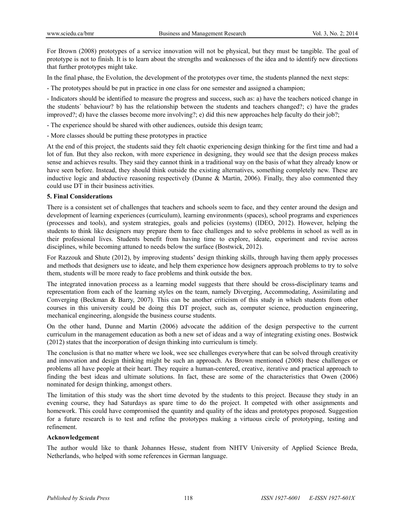For Brown (2008) prototypes of a service innovation will not be physical, but they must be tangible. The goal of prototype is not to finish. It is to learn about the strengths and weaknesses of the idea and to identify new directions that further prototypes might take.

In the final phase, the Evolution, the development of the prototypes over time, the students planned the next steps:

- The prototypes should be put in practice in one class for one semester and assigned a champion;

- Indicators should be identified to measure the progress and success, such as: a) have the teachers noticed change in the students` behaviour? b) has the relationship between the students and teachers changed?; c) have the grades improved?; d) have the classes become more involving?; e) did this new approaches help faculty do their job?;

- The experience should be shared with other audiences, outside this design team;

- More classes should be putting these prototypes in practice

At the end of this project, the students said they felt chaotic experiencing design thinking for the first time and had a lot of fun. But they also reckon, with more experience in designing, they would see that the design process makes sense and achieves results. They said they cannot think in a traditional way on the basis of what they already know or have seen before. Instead, they should think outside the existing alternatives, something completely new. These are inductive logic and abductive reasoning respectively (Dunne & Martin, 2006). Finally, they also commented they could use DT in their business activities.

#### **5. Final Considerations**

There is a consistent set of challenges that teachers and schools seem to face, and they center around the design and development of learning experiences (curriculum), learning environments (spaces), school programs and experiences (processes and tools), and system strategies, goals and policies (systems) (IDEO, 2012). However, helping the students to think like designers may prepare them to face challenges and to solve problems in school as well as in their professional lives. Students benefit from having time to explore, ideate, experiment and revise across disciplines, while becoming attuned to needs below the surface (Bostwick, 2012).

For Razzouk and Shute (2012), by improving students' design thinking skills, through having them apply processes and methods that designers use to ideate, and help them experience how designers approach problems to try to solve them, students will be more ready to face problems and think outside the box.

The integrated innovation process as a learning model suggests that there should be cross-disciplinary teams and representation from each of the learning styles on the team, namely Diverging, Accommodating, Assimilating and Converging (Beckman & Barry, 2007). This can be another criticism of this study in which students from other courses in this university could be doing this DT project, such as, computer science, production engineering, mechanical engineering, alongside the business course students.

On the other hand, Dunne and Martin (2006) advocate the addition of the design perspective to the current curriculum in the management education as both a new set of ideas and a way of integrating existing ones. Bostwick (2012) states that the incorporation of design thinking into curriculum is timely.

The conclusion is that no matter where we look, wee see challenges everywhere that can be solved through creativity and innovation and design thinking might be such an approach. As Brown mentioned (2008) these challenges or problems all have people at their heart. They require a human-centered, creative, iterative and practical approach to finding the best ideas and ultimate solutions. In fact, these are some of the characteristics that Owen (2006) nominated for design thinking, amongst others.

The limitation of this study was the short time devoted by the students to this project. Because they study in an evening course, they had Saturdays as spare time to do the project. It competed with other assignments and homework. This could have compromised the quantity and quality of the ideas and prototypes proposed. Suggestion for a future research is to test and refine the prototypes making a virtuous circle of prototyping, testing and refinement.

#### **Acknowledgement**

The author would like to thank Johannes Hesse, student from NHTV University of Applied Science Breda, Netherlands, who helped with some references in German language.